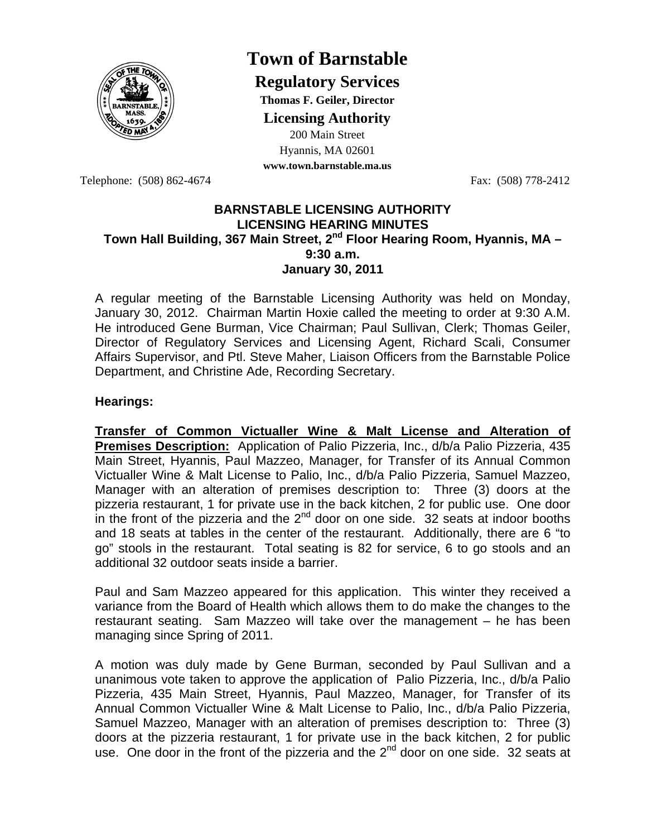

## **Town of Barnstable**

**Regulatory Services**

**Thomas F. Geiler, Director** 

**Licensing Authority**

200 Main Street Hyannis, MA 02601 **www.town.barnstable.ma.us**

Telephone: (508) 862-4674 Fax: (508) 778-2412

## **BARNSTABLE LICENSING AUTHORITY LICENSING HEARING MINUTES**  Town Hall Building, 367 Main Street, 2<sup>nd</sup> Floor Hearing Room, Hyannis, MA -**9:30 a.m. January 30, 2011**

A regular meeting of the Barnstable Licensing Authority was held on Monday, January 30, 2012. Chairman Martin Hoxie called the meeting to order at 9:30 A.M. He introduced Gene Burman, Vice Chairman; Paul Sullivan, Clerk; Thomas Geiler, Director of Regulatory Services and Licensing Agent, Richard Scali, Consumer Affairs Supervisor, and Ptl. Steve Maher, Liaison Officers from the Barnstable Police Department, and Christine Ade, Recording Secretary.

## **Hearings:**

**Transfer of Common Victualler Wine & Malt License and Alteration of Premises Description:** Application of Palio Pizzeria, Inc., d/b/a Palio Pizzeria, 435 Main Street, Hyannis, Paul Mazzeo, Manager, for Transfer of its Annual Common Victualler Wine & Malt License to Palio, Inc., d/b/a Palio Pizzeria, Samuel Mazzeo, Manager with an alteration of premises description to: Three (3) doors at the pizzeria restaurant, 1 for private use in the back kitchen, 2 for public use. One door in the front of the pizzeria and the  $2<sup>nd</sup>$  door on one side. 32 seats at indoor booths and 18 seats at tables in the center of the restaurant. Additionally, there are 6 "to go" stools in the restaurant. Total seating is 82 for service, 6 to go stools and an additional 32 outdoor seats inside a barrier.

Paul and Sam Mazzeo appeared for this application. This winter they received a variance from the Board of Health which allows them to do make the changes to the restaurant seating. Sam Mazzeo will take over the management – he has been managing since Spring of 2011.

A motion was duly made by Gene Burman, seconded by Paul Sullivan and a unanimous vote taken to approve the application of Palio Pizzeria, Inc., d/b/a Palio Pizzeria, 435 Main Street, Hyannis, Paul Mazzeo, Manager, for Transfer of its Annual Common Victualler Wine & Malt License to Palio, Inc., d/b/a Palio Pizzeria, Samuel Mazzeo, Manager with an alteration of premises description to: Three (3) doors at the pizzeria restaurant, 1 for private use in the back kitchen, 2 for public use. One door in the front of the pizzeria and the  $2<sup>nd</sup>$  door on one side. 32 seats at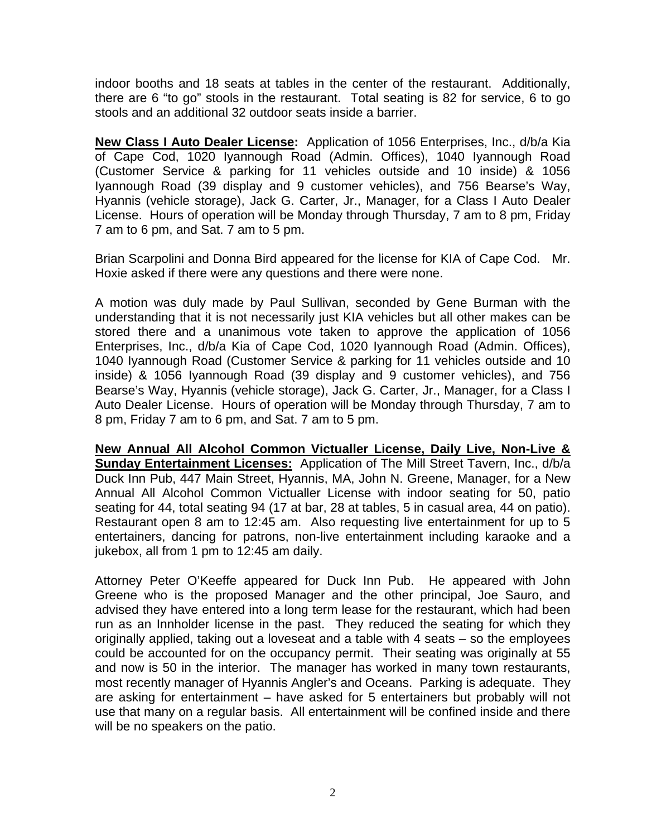indoor booths and 18 seats at tables in the center of the restaurant. Additionally, there are 6 "to go" stools in the restaurant. Total seating is 82 for service, 6 to go stools and an additional 32 outdoor seats inside a barrier.

**New Class I Auto Dealer License:** Application of 1056 Enterprises, Inc., d/b/a Kia of Cape Cod, 1020 Iyannough Road (Admin. Offices), 1040 Iyannough Road (Customer Service & parking for 11 vehicles outside and 10 inside) & 1056 Iyannough Road (39 display and 9 customer vehicles), and 756 Bearse's Way, Hyannis (vehicle storage), Jack G. Carter, Jr., Manager, for a Class I Auto Dealer License. Hours of operation will be Monday through Thursday, 7 am to 8 pm, Friday 7 am to 6 pm, and Sat. 7 am to 5 pm.

Brian Scarpolini and Donna Bird appeared for the license for KIA of Cape Cod. Mr. Hoxie asked if there were any questions and there were none.

A motion was duly made by Paul Sullivan, seconded by Gene Burman with the understanding that it is not necessarily just KIA vehicles but all other makes can be stored there and a unanimous vote taken to approve the application of 1056 Enterprises, Inc., d/b/a Kia of Cape Cod, 1020 Iyannough Road (Admin. Offices), 1040 Iyannough Road (Customer Service & parking for 11 vehicles outside and 10 inside) & 1056 Iyannough Road (39 display and 9 customer vehicles), and 756 Bearse's Way, Hyannis (vehicle storage), Jack G. Carter, Jr., Manager, for a Class I Auto Dealer License. Hours of operation will be Monday through Thursday, 7 am to 8 pm, Friday 7 am to 6 pm, and Sat. 7 am to 5 pm.

**New Annual All Alcohol Common Victualler License, Daily Live, Non-Live & Sunday Entertainment Licenses:** Application of The Mill Street Tavern, Inc., d/b/a Duck Inn Pub, 447 Main Street, Hyannis, MA, John N. Greene, Manager, for a New Annual All Alcohol Common Victualler License with indoor seating for 50, patio seating for 44, total seating 94 (17 at bar, 28 at tables, 5 in casual area, 44 on patio). Restaurant open 8 am to 12:45 am. Also requesting live entertainment for up to 5 entertainers, dancing for patrons, non-live entertainment including karaoke and a jukebox, all from 1 pm to 12:45 am daily.

Attorney Peter O'Keeffe appeared for Duck Inn Pub. He appeared with John Greene who is the proposed Manager and the other principal, Joe Sauro, and advised they have entered into a long term lease for the restaurant, which had been run as an Innholder license in the past. They reduced the seating for which they originally applied, taking out a loveseat and a table with 4 seats – so the employees could be accounted for on the occupancy permit. Their seating was originally at 55 and now is 50 in the interior. The manager has worked in many town restaurants, most recently manager of Hyannis Angler's and Oceans. Parking is adequate. They are asking for entertainment – have asked for 5 entertainers but probably will not use that many on a regular basis. All entertainment will be confined inside and there will be no speakers on the patio.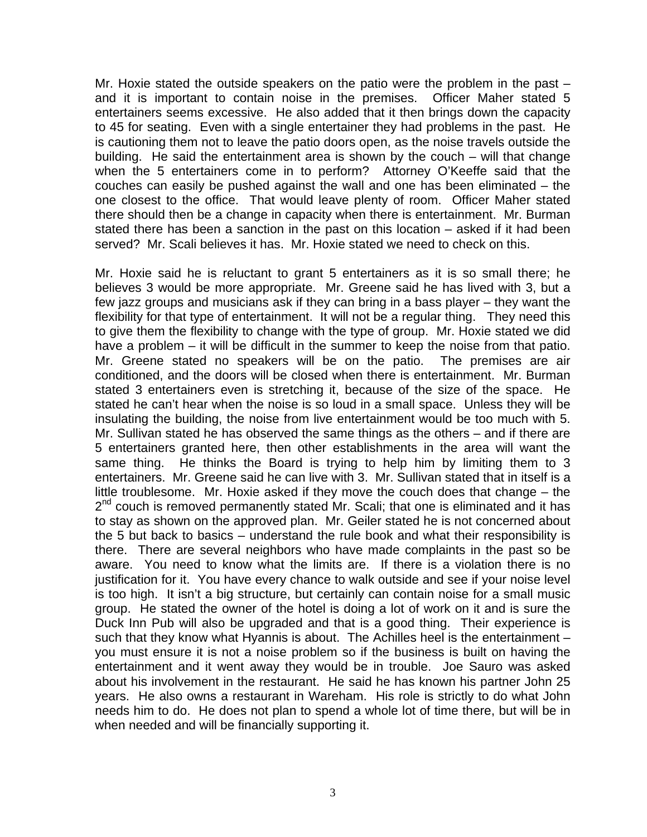Mr. Hoxie stated the outside speakers on the patio were the problem in the past – and it is important to contain noise in the premises. Officer Maher stated 5 entertainers seems excessive. He also added that it then brings down the capacity to 45 for seating. Even with a single entertainer they had problems in the past. He is cautioning them not to leave the patio doors open, as the noise travels outside the building. He said the entertainment area is shown by the couch – will that change when the 5 entertainers come in to perform? Attorney O'Keeffe said that the couches can easily be pushed against the wall and one has been eliminated – the one closest to the office. That would leave plenty of room. Officer Maher stated there should then be a change in capacity when there is entertainment. Mr. Burman stated there has been a sanction in the past on this location – asked if it had been served? Mr. Scali believes it has. Mr. Hoxie stated we need to check on this.

Mr. Hoxie said he is reluctant to grant 5 entertainers as it is so small there; he believes 3 would be more appropriate. Mr. Greene said he has lived with 3, but a few jazz groups and musicians ask if they can bring in a bass player – they want the flexibility for that type of entertainment. It will not be a regular thing. They need this to give them the flexibility to change with the type of group. Mr. Hoxie stated we did have a problem – it will be difficult in the summer to keep the noise from that patio. Mr. Greene stated no speakers will be on the patio. The premises are air conditioned, and the doors will be closed when there is entertainment. Mr. Burman stated 3 entertainers even is stretching it, because of the size of the space. He stated he can't hear when the noise is so loud in a small space. Unless they will be insulating the building, the noise from live entertainment would be too much with 5. Mr. Sullivan stated he has observed the same things as the others – and if there are 5 entertainers granted here, then other establishments in the area will want the same thing. He thinks the Board is trying to help him by limiting them to 3 entertainers. Mr. Greene said he can live with 3. Mr. Sullivan stated that in itself is a little troublesome. Mr. Hoxie asked if they move the couch does that change – the  $2^{nd}$  couch is removed permanently stated Mr. Scali; that one is eliminated and it has to stay as shown on the approved plan. Mr. Geiler stated he is not concerned about the 5 but back to basics – understand the rule book and what their responsibility is there. There are several neighbors who have made complaints in the past so be aware. You need to know what the limits are. If there is a violation there is no justification for it. You have every chance to walk outside and see if your noise level is too high. It isn't a big structure, but certainly can contain noise for a small music group. He stated the owner of the hotel is doing a lot of work on it and is sure the Duck Inn Pub will also be upgraded and that is a good thing. Their experience is such that they know what Hyannis is about. The Achilles heel is the entertainment – you must ensure it is not a noise problem so if the business is built on having the entertainment and it went away they would be in trouble. Joe Sauro was asked about his involvement in the restaurant. He said he has known his partner John 25 years. He also owns a restaurant in Wareham. His role is strictly to do what John needs him to do. He does not plan to spend a whole lot of time there, but will be in when needed and will be financially supporting it.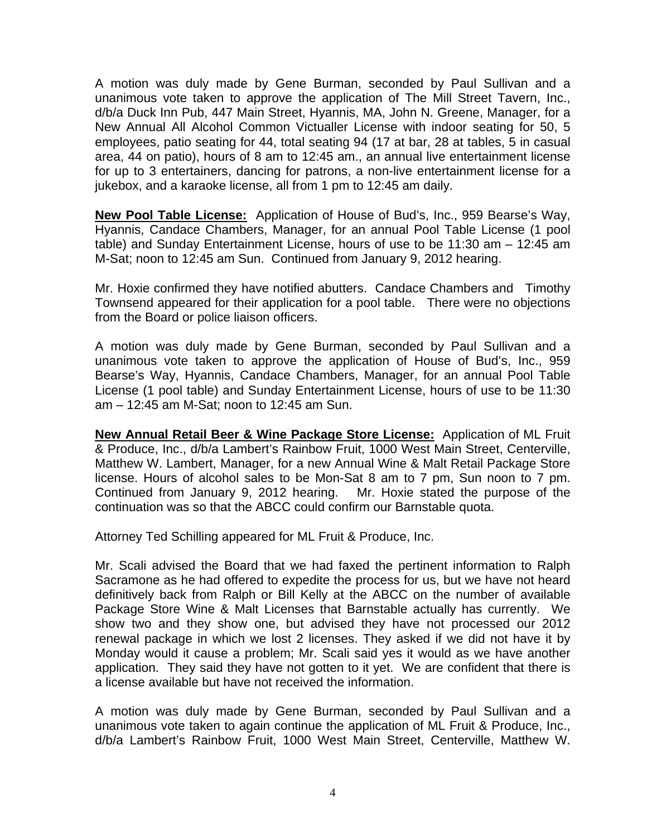A motion was duly made by Gene Burman, seconded by Paul Sullivan and a unanimous vote taken to approve the application of The Mill Street Tavern, Inc., d/b/a Duck Inn Pub, 447 Main Street, Hyannis, MA, John N. Greene, Manager, for a New Annual All Alcohol Common Victualler License with indoor seating for 50, 5 employees, patio seating for 44, total seating 94 (17 at bar, 28 at tables, 5 in casual area, 44 on patio), hours of 8 am to 12:45 am., an annual live entertainment license for up to 3 entertainers, dancing for patrons, a non-live entertainment license for a jukebox, and a karaoke license, all from 1 pm to 12:45 am daily.

**New Pool Table License:** Application of House of Bud's, Inc., 959 Bearse's Way, Hyannis, Candace Chambers, Manager, for an annual Pool Table License (1 pool table) and Sunday Entertainment License, hours of use to be 11:30 am – 12:45 am M-Sat; noon to 12:45 am Sun. Continued from January 9, 2012 hearing.

Mr. Hoxie confirmed they have notified abutters. Candace Chambers and Timothy Townsend appeared for their application for a pool table. There were no objections from the Board or police liaison officers.

A motion was duly made by Gene Burman, seconded by Paul Sullivan and a unanimous vote taken to approve the application of House of Bud's, Inc., 959 Bearse's Way, Hyannis, Candace Chambers, Manager, for an annual Pool Table License (1 pool table) and Sunday Entertainment License, hours of use to be 11:30 am – 12:45 am M-Sat; noon to 12:45 am Sun.

**New Annual Retail Beer & Wine Package Store License:** Application of ML Fruit & Produce, Inc., d/b/a Lambert's Rainbow Fruit, 1000 West Main Street, Centerville, Matthew W. Lambert, Manager, for a new Annual Wine & Malt Retail Package Store license. Hours of alcohol sales to be Mon-Sat 8 am to 7 pm, Sun noon to 7 pm. Continued from January 9, 2012 hearing. Mr. Hoxie stated the purpose of the continuation was so that the ABCC could confirm our Barnstable quota.

Attorney Ted Schilling appeared for ML Fruit & Produce, Inc.

Mr. Scali advised the Board that we had faxed the pertinent information to Ralph Sacramone as he had offered to expedite the process for us, but we have not heard definitively back from Ralph or Bill Kelly at the ABCC on the number of available Package Store Wine & Malt Licenses that Barnstable actually has currently. We show two and they show one, but advised they have not processed our 2012 renewal package in which we lost 2 licenses. They asked if we did not have it by Monday would it cause a problem; Mr. Scali said yes it would as we have another application. They said they have not gotten to it yet. We are confident that there is a license available but have not received the information.

A motion was duly made by Gene Burman, seconded by Paul Sullivan and a unanimous vote taken to again continue the application of ML Fruit & Produce, Inc., d/b/a Lambert's Rainbow Fruit, 1000 West Main Street, Centerville, Matthew W.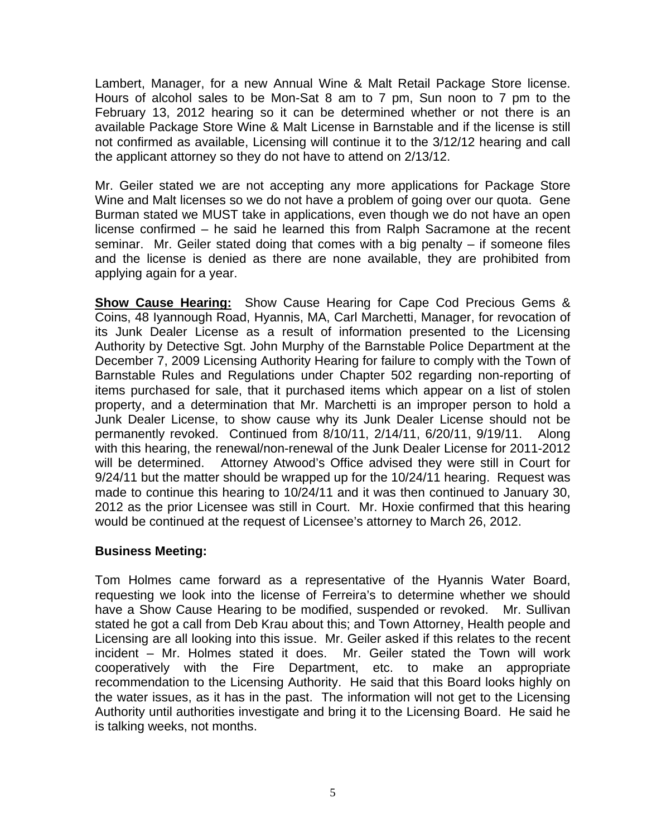Lambert, Manager, for a new Annual Wine & Malt Retail Package Store license. Hours of alcohol sales to be Mon-Sat 8 am to 7 pm, Sun noon to 7 pm to the February 13, 2012 hearing so it can be determined whether or not there is an available Package Store Wine & Malt License in Barnstable and if the license is still not confirmed as available, Licensing will continue it to the 3/12/12 hearing and call the applicant attorney so they do not have to attend on 2/13/12.

Mr. Geiler stated we are not accepting any more applications for Package Store Wine and Malt licenses so we do not have a problem of going over our quota. Gene Burman stated we MUST take in applications, even though we do not have an open license confirmed – he said he learned this from Ralph Sacramone at the recent seminar. Mr. Geiler stated doing that comes with a big penalty – if someone files and the license is denied as there are none available, they are prohibited from applying again for a year.

**Show Cause Hearing:** Show Cause Hearing for Cape Cod Precious Gems & Coins, 48 Iyannough Road, Hyannis, MA, Carl Marchetti, Manager, for revocation of its Junk Dealer License as a result of information presented to the Licensing Authority by Detective Sgt. John Murphy of the Barnstable Police Department at the December 7, 2009 Licensing Authority Hearing for failure to comply with the Town of Barnstable Rules and Regulations under Chapter 502 regarding non-reporting of items purchased for sale, that it purchased items which appear on a list of stolen property, and a determination that Mr. Marchetti is an improper person to hold a Junk Dealer License, to show cause why its Junk Dealer License should not be permanently revoked. Continued from 8/10/11, 2/14/11, 6/20/11, 9/19/11. Along with this hearing, the renewal/non-renewal of the Junk Dealer License for 2011-2012 will be determined. Attorney Atwood's Office advised they were still in Court for 9/24/11 but the matter should be wrapped up for the 10/24/11 hearing. Request was made to continue this hearing to 10/24/11 and it was then continued to January 30, 2012 as the prior Licensee was still in Court. Mr. Hoxie confirmed that this hearing would be continued at the request of Licensee's attorney to March 26, 2012.

## **Business Meeting:**

Tom Holmes came forward as a representative of the Hyannis Water Board, requesting we look into the license of Ferreira's to determine whether we should have a Show Cause Hearing to be modified, suspended or revoked. Mr. Sullivan stated he got a call from Deb Krau about this; and Town Attorney, Health people and Licensing are all looking into this issue. Mr. Geiler asked if this relates to the recent incident – Mr. Holmes stated it does. Mr. Geiler stated the Town will work cooperatively with the Fire Department, etc. to make an appropriate recommendation to the Licensing Authority. He said that this Board looks highly on the water issues, as it has in the past. The information will not get to the Licensing Authority until authorities investigate and bring it to the Licensing Board. He said he is talking weeks, not months.